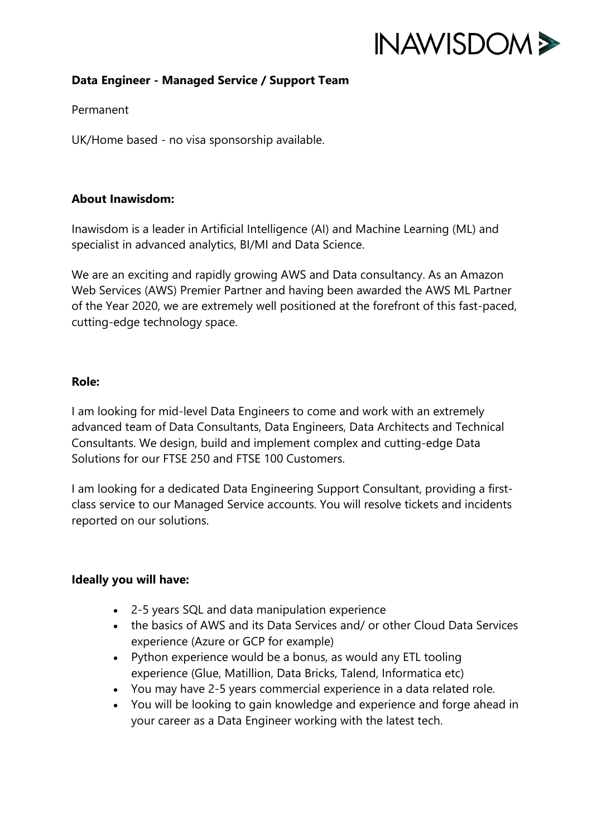

# **Data Engineer - Managed Service / Support Team**

## Permanent

UK/Home based - no visa sponsorship available.

## **About Inawisdom:**

Inawisdom is a leader in Artificial Intelligence (AI) and Machine Learning (ML) and specialist in advanced analytics, BI/MI and Data Science.

We are an exciting and rapidly growing AWS and Data consultancy. As an Amazon Web Services (AWS) Premier Partner and having been awarded the AWS ML Partner of the Year 2020, we are extremely well positioned at the forefront of this fast-paced, cutting-edge technology space.

#### **Role:**

I am looking for mid-level Data Engineers to come and work with an extremely advanced team of Data Consultants, Data Engineers, Data Architects and Technical Consultants. We design, build and implement complex and cutting-edge Data Solutions for our FTSE 250 and FTSE 100 Customers.

I am looking for a dedicated Data Engineering Support Consultant, providing a firstclass service to our Managed Service accounts. You will resolve tickets and incidents reported on our solutions.

## **Ideally you will have:**

- 2-5 years SQL and data manipulation experience
- the basics of AWS and its Data Services and/ or other Cloud Data Services experience (Azure or GCP for example)
- Python experience would be a bonus, as would any ETL tooling experience (Glue, Matillion, Data Bricks, Talend, Informatica etc)
- You may have 2-5 years commercial experience in a data related role.
- You will be looking to gain knowledge and experience and forge ahead in your career as a Data Engineer working with the latest tech.